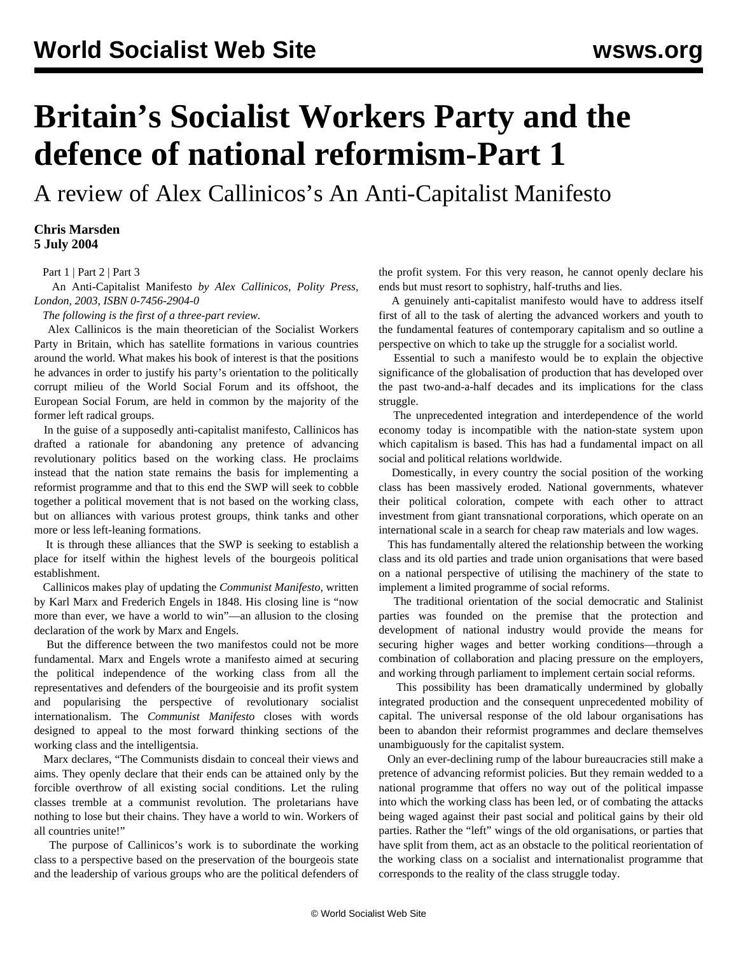## **Britain's Socialist Workers Party and the defence of national reformism-Part 1**

A review of Alex Callinicos's An Anti-Capitalist Manifesto

## **Chris Marsden 5 July 2004**

[Part 1](/en/articles/2004/07/cal1-j05.html) | [Part 2](/en/articles/2004/07/cal2-j06.html) | [Part 3](/en/articles/2004/07/cal3-j07.html)

 An Anti-Capitalist Manifesto *by Alex Callinicos, Polity Press, London, 2003, ISBN 0-7456-2904-0*

*The following is the first of a three-part review.*

 Alex Callinicos is the main theoretician of the Socialist Workers Party in Britain, which has satellite formations in various countries around the world. What makes his book of interest is that the positions he advances in order to justify his party's orientation to the politically corrupt milieu of the World Social Forum and its offshoot, the European Social Forum, are held in common by the majority of the former left radical groups.

 In the guise of a supposedly anti-capitalist manifesto, Callinicos has drafted a rationale for abandoning any pretence of advancing revolutionary politics based on the working class. He proclaims instead that the nation state remains the basis for implementing a reformist programme and that to this end the SWP will seek to cobble together a political movement that is not based on the working class, but on alliances with various protest groups, think tanks and other more or less left-leaning formations.

 It is through these alliances that the SWP is seeking to establish a place for itself within the highest levels of the bourgeois political establishment.

 Callinicos makes play of updating the *Communist Manifesto*, written by Karl Marx and Frederich Engels in 1848. His closing line is "now more than ever, we have a world to win"—an allusion to the closing declaration of the work by Marx and Engels.

 But the difference between the two manifestos could not be more fundamental. Marx and Engels wrote a manifesto aimed at securing the political independence of the working class from all the representatives and defenders of the bourgeoisie and its profit system and popularising the perspective of revolutionary socialist internationalism. The *Communist Manifesto* closes with words designed to appeal to the most forward thinking sections of the working class and the intelligentsia.

 Marx declares, "The Communists disdain to conceal their views and aims. They openly declare that their ends can be attained only by the forcible overthrow of all existing social conditions. Let the ruling classes tremble at a communist revolution. The proletarians have nothing to lose but their chains. They have a world to win. Workers of all countries unite!"

 The purpose of Callinicos's work is to subordinate the working class to a perspective based on the preservation of the bourgeois state and the leadership of various groups who are the political defenders of the profit system. For this very reason, he cannot openly declare his ends but must resort to sophistry, half-truths and lies.

 A genuinely anti-capitalist manifesto would have to address itself first of all to the task of alerting the advanced workers and youth to the fundamental features of contemporary capitalism and so outline a perspective on which to take up the struggle for a socialist world.

 Essential to such a manifesto would be to explain the objective significance of the globalisation of production that has developed over the past two-and-a-half decades and its implications for the class struggle.

 The unprecedented integration and interdependence of the world economy today is incompatible with the nation-state system upon which capitalism is based. This has had a fundamental impact on all social and political relations worldwide.

 Domestically, in every country the social position of the working class has been massively eroded. National governments, whatever their political coloration, compete with each other to attract investment from giant transnational corporations, which operate on an international scale in a search for cheap raw materials and low wages.

 This has fundamentally altered the relationship between the working class and its old parties and trade union organisations that were based on a national perspective of utilising the machinery of the state to implement a limited programme of social reforms.

 The traditional orientation of the social democratic and Stalinist parties was founded on the premise that the protection and development of national industry would provide the means for securing higher wages and better working conditions—through a combination of collaboration and placing pressure on the employers, and working through parliament to implement certain social reforms.

 This possibility has been dramatically undermined by globally integrated production and the consequent unprecedented mobility of capital. The universal response of the old labour organisations has been to abandon their reformist programmes and declare themselves unambiguously for the capitalist system.

 Only an ever-declining rump of the labour bureaucracies still make a pretence of advancing reformist policies. But they remain wedded to a national programme that offers no way out of the political impasse into which the working class has been led, or of combating the attacks being waged against their past social and political gains by their old parties. Rather the "left" wings of the old organisations, or parties that have split from them, act as an obstacle to the political reorientation of the working class on a socialist and internationalist programme that corresponds to the reality of the class struggle today.